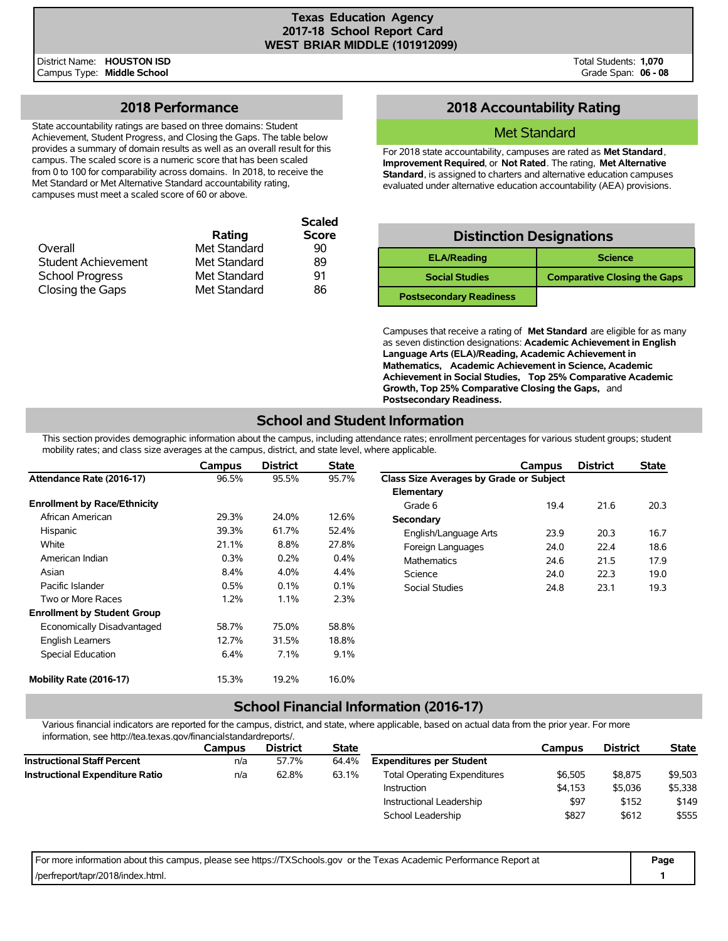District Name: **HOUSTON ISD** Campus Type: **Middle School**

## **2018 Performance**

State accountability ratings are based on three domains: Student Achievement, Student Progress, and Closing the Gaps. The table below provides a summary of domain results as well as an overall result for this campus. The scaled score is a numeric score that has been scaled from 0 to 100 for comparability across domains. In 2018, to receive the Met Standard or Met Alternative Standard accountability rating, campuses must meet a scaled score of 60 or above.

|                            |              | <b>Scaled</b> |
|----------------------------|--------------|---------------|
|                            | Rating       | <b>Score</b>  |
| Overall                    | Met Standard | 90            |
| <b>Student Achievement</b> | Met Standard | 89            |
| <b>School Progress</b>     | Met Standard | 91            |
| Closing the Gaps           | Met Standard | 86            |

## **2018 Accountability Rating**

### Met Standard

For 2018 state accountability, campuses are rated as **Met Standard**, **Improvement Required**, or **Not Rated**. The rating, **Met Alternative Standard**, is assigned to charters and alternative education campuses evaluated under alternative education accountability (AEA) provisions.

| <b>Distinction Designations</b> |                                     |  |  |  |  |  |  |  |
|---------------------------------|-------------------------------------|--|--|--|--|--|--|--|
| <b>ELA/Reading</b>              | <b>Science</b>                      |  |  |  |  |  |  |  |
| <b>Social Studies</b>           | <b>Comparative Closing the Gaps</b> |  |  |  |  |  |  |  |
| <b>Postsecondary Readiness</b>  |                                     |  |  |  |  |  |  |  |

Campuses that receive a rating of **Met Standard** are eligible for as many as seven distinction designations: **Academic Achievement in English Language Arts (ELA)/Reading, Academic Achievement in Mathematics, Academic Achievement in Science, Academic Achievement in Social Studies, Top 25% Comparative Academic Growth, Top 25% Comparative Closing the Gaps,** and **Postsecondary Readiness.**

## **School and Student Information**

This section provides demographic information about the campus, including attendance rates; enrollment percentages for various student groups; student mobility rates; and class size averages at the campus, district, and state level, where applicable.

|                                     | Campus  | <b>District</b> | <b>State</b> |                                         | Campus | <b>District</b> | <b>State</b> |
|-------------------------------------|---------|-----------------|--------------|-----------------------------------------|--------|-----------------|--------------|
| Attendance Rate (2016-17)           | 96.5%   | 95.5%           | 95.7%        | Class Size Averages by Grade or Subject |        |                 |              |
|                                     |         |                 |              | Elementary                              |        |                 |              |
| <b>Enrollment by Race/Ethnicity</b> |         |                 |              | Grade 6                                 | 19.4   | 21.6            | 20.3         |
| African American                    | 29.3%   | 24.0%           | 12.6%        | Secondary                               |        |                 |              |
| Hispanic                            | 39.3%   | 61.7%           | 52.4%        | English/Language Arts                   | 23.9   | 20.3            | 16.7         |
| White                               | 21.1%   | 8.8%            | 27.8%        | Foreign Languages                       | 24.0   | 22.4            | 18.6         |
| American Indian                     | 0.3%    | 0.2%            | 0.4%         | <b>Mathematics</b>                      | 24.6   | 21.5            | 17.9         |
| Asian                               | 8.4%    | 4.0%            | 4.4%         | Science                                 | 24.0   | 22.3            | 19.0         |
| Pacific Islander                    | 0.5%    | 0.1%            | 0.1%         | <b>Social Studies</b>                   | 24.8   | 23.1            | 19.3         |
| Two or More Races                   | $1.2\%$ | 1.1%            | 2.3%         |                                         |        |                 |              |
| <b>Enrollment by Student Group</b>  |         |                 |              |                                         |        |                 |              |
| Economically Disadvantaged          | 58.7%   | 75.0%           | 58.8%        |                                         |        |                 |              |
| <b>English Learners</b>             | 12.7%   | 31.5%           | 18.8%        |                                         |        |                 |              |
| Special Education                   | 6.4%    | 7.1%            | 9.1%         |                                         |        |                 |              |
| Mobility Rate (2016-17)             | 15.3%   | 19.2%           | 16.0%        |                                         |        |                 |              |

### **School Financial Information (2016-17)**

Various financial indicators are reported for the campus, district, and state, where applicable, based on actual data from the prior year. For more information, see http://tea.texas.gov/financialstandardreports/.

|                                        | Campus | <b>District</b> | <b>State</b> |                                     | Campus  | <b>District</b> | <b>State</b> |
|----------------------------------------|--------|-----------------|--------------|-------------------------------------|---------|-----------------|--------------|
| <b>Instructional Staff Percent</b>     | n/a    | 57.7%           | 64.4%        | <b>Expenditures per Student</b>     |         |                 |              |
| <b>Instructional Expenditure Ratio</b> | n/a    | 62.8%           | 63.1%        | <b>Total Operating Expenditures</b> | \$6.505 | \$8,875         | \$9,503      |
|                                        |        |                 |              | Instruction                         | \$4.153 | \$5,036         | \$5,338      |
|                                        |        |                 |              | Instructional Leadership            | \$97    | \$152           | \$149        |
|                                        |        |                 |              | School Leadership                   | \$827   | \$612           | \$555        |

| For more information about this campus, please see https://TXSchools.gov or the Texas Academic Performance Report at | Page |
|----------------------------------------------------------------------------------------------------------------------|------|
| /perfreport/tapr/2018/index.html.                                                                                    |      |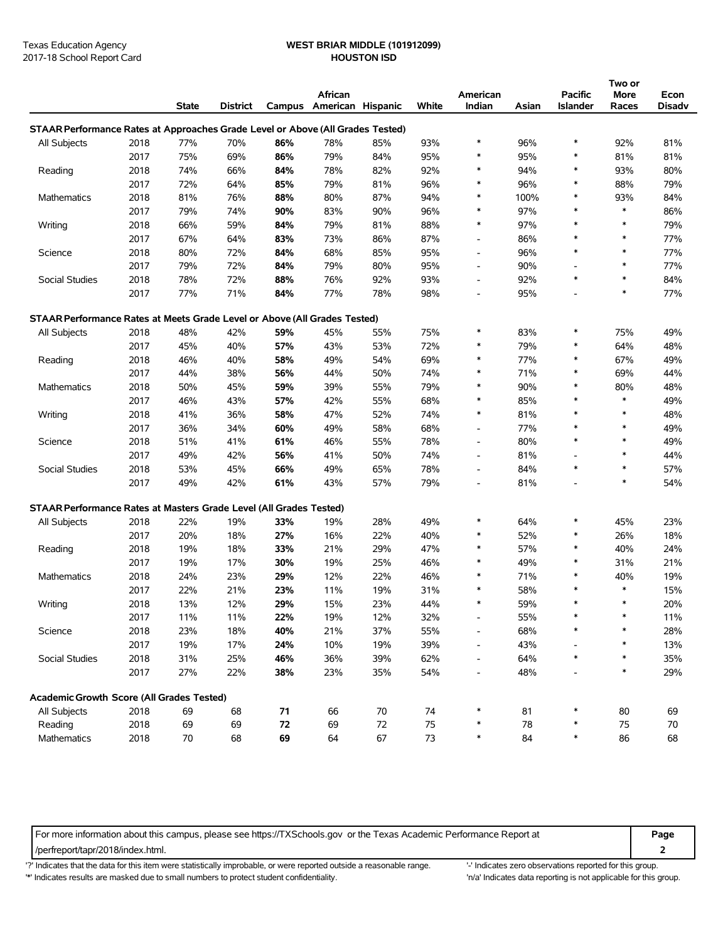## Texas Education Agency **WEST BRIAR MIDDLE (101912099)**

|                                                                                |      | <b>State</b> | <b>District</b> |      | African<br>Campus American Hispanic |     | White | American<br>Indian       | Asian | <b>Pacific</b><br>Islander | Two or<br>More<br>Races | Econ<br>Disadv |
|--------------------------------------------------------------------------------|------|--------------|-----------------|------|-------------------------------------|-----|-------|--------------------------|-------|----------------------------|-------------------------|----------------|
| STAAR Performance Rates at Approaches Grade Level or Above (All Grades Tested) |      |              |                 |      |                                     |     |       |                          |       |                            |                         |                |
| All Subjects                                                                   | 2018 | 77%          | 70%             | 86%  | 78%                                 | 85% | 93%   | *                        | 96%   | $\ast$                     | 92%                     | 81%            |
|                                                                                | 2017 | 75%          | 69%             | 86%  | 79%                                 | 84% | 95%   | *                        | 95%   | *                          | 81%                     | 81%            |
| Reading                                                                        | 2018 | 74%          | 66%             | 84%  | 78%                                 | 82% | 92%   | *                        | 94%   | *                          | 93%                     | 80%            |
|                                                                                | 2017 | 72%          | 64%             | 85%  | 79%                                 | 81% | 96%   | $\ast$                   | 96%   | *                          | 88%                     | 79%            |
| Mathematics                                                                    | 2018 | 81%          | 76%             | 88%  | 80%                                 | 87% | 94%   | $\ast$                   | 100%  | *                          | 93%                     | 84%            |
|                                                                                | 2017 | 79%          | 74%             | 90%  | 83%                                 | 90% | 96%   | ∗                        | 97%   | $\ast$                     | $\ast$                  | 86%            |
| Writing                                                                        | 2018 | 66%          | 59%             | 84%  | 79%                                 | 81% | 88%   | $\ast$                   | 97%   | *                          | $\ast$                  | 79%            |
|                                                                                | 2017 | 67%          | 64%             | 83%  | 73%                                 | 86% | 87%   | $\overline{\phantom{a}}$ | 86%   | $\ast$                     | $\ast$                  | 77%            |
| Science                                                                        | 2018 | 80%          | 72%             | 84%  | 68%                                 | 85% | 95%   | $\overline{\phantom{a}}$ | 96%   | *                          | $\ast$                  | 77%            |
|                                                                                | 2017 | 79%          | 72%             | 84%  | 79%                                 | 80% | 95%   | $\overline{\phantom{a}}$ | 90%   | $\overline{a}$             | $\ast$                  | 77%            |
| Social Studies                                                                 | 2018 | 78%          | 72%             | 88%  | 76%                                 | 92% | 93%   | $\overline{\phantom{a}}$ | 92%   | $\ast$                     | $\ast$                  | 84%            |
|                                                                                | 2017 | 77%          | 71%             | 84%  | 77%                                 | 78% | 98%   | $\overline{\phantom{a}}$ | 95%   | $\overline{\phantom{a}}$   | $\ast$                  | 77%            |
|                                                                                |      |              |                 |      |                                     |     |       |                          |       |                            |                         |                |
| STAAR Performance Rates at Meets Grade Level or Above (All Grades Tested)      |      |              |                 |      |                                     |     |       |                          |       |                            |                         |                |
| All Subjects                                                                   | 2018 | 48%          | 42%             | 59%  | 45%                                 | 55% | 75%   | ∗                        | 83%   | *                          | 75%                     | 49%            |
|                                                                                | 2017 | 45%          | 40%             | 57%  | 43%                                 | 53% | 72%   | $\ast$                   | 79%   | $\ast$                     | 64%                     | 48%            |
| Reading                                                                        | 2018 | 46%          | 40%             | 58%  | 49%                                 | 54% | 69%   | ∗                        | 77%   | $\ast$                     | 67%                     | 49%            |
|                                                                                | 2017 | 44%          | 38%             | 56%  | 44%                                 | 50% | 74%   | ∗                        | 71%   | $\ast$                     | 69%                     | 44%            |
| Mathematics                                                                    | 2018 | 50%          | 45%             | 59%  | 39%                                 | 55% | 79%   | $\ast$                   | 90%   | $\ast$                     | 80%                     | 48%            |
|                                                                                | 2017 | 46%          | 43%             | 57%  | 42%                                 | 55% | 68%   | ∗                        | 85%   | $\ast$                     | $\ast$                  | 49%            |
| Writing                                                                        | 2018 | 41%          | 36%             | 58%  | 47%                                 | 52% | 74%   | $\ast$                   | 81%   | $\ast$                     | $\ast$                  | 48%            |
|                                                                                | 2017 | 36%          | 34%             | 60%  | 49%                                 | 58% | 68%   | $\overline{\phantom{a}}$ | 77%   | *                          | $\ast$                  | 49%            |
| Science                                                                        | 2018 | 51%          | 41%             | 61%  | 46%                                 | 55% | 78%   | $\overline{\phantom{a}}$ | 80%   | *                          | $\ast$                  | 49%            |
|                                                                                | 2017 | 49%          | 42%             | 56%  | 41%                                 | 50% | 74%   | $\overline{a}$           | 81%   | $\overline{\phantom{a}}$   | $\ast$                  | 44%            |
| Social Studies                                                                 | 2018 | 53%          | 45%             | 66%  | 49%                                 | 65% | 78%   | $\overline{a}$           | 84%   | $\ast$                     | $\ast$                  | 57%            |
|                                                                                | 2017 | 49%          | 42%             | 61%  | 43%                                 | 57% | 79%   |                          | 81%   |                            | $\ast$                  | 54%            |
| STAAR Performance Rates at Masters Grade Level (All Grades Tested)             |      |              |                 |      |                                     |     |       |                          |       |                            |                         |                |
| All Subjects                                                                   | 2018 | 22%          | 19%             | 33%  | 19%                                 | 28% | 49%   | $\ast$                   | 64%   | *                          | 45%                     | 23%            |
|                                                                                | 2017 | 20%          | 18%             | 27%  | 16%                                 | 22% | 40%   | *                        | 52%   | *                          | 26%                     | 18%            |
| Reading                                                                        | 2018 | 19%          | 18%             | 33%  | 21%                                 | 29% | 47%   | $\ast$                   | 57%   | $\ast$                     | 40%                     | 24%            |
|                                                                                | 2017 | 19%          | 17%             | 30%  | 19%                                 | 25% | 46%   | $\ast$                   | 49%   | *                          | 31%                     | 21%            |
| Mathematics                                                                    | 2018 | 24%          | 23%             | 29%  | 12%                                 | 22% | 46%   | *                        | 71%   | *                          | 40%                     | 19%            |
|                                                                                | 2017 | 22%          | 21%             | 23%  | 11%                                 | 19% | 31%   | $\ast$                   | 58%   | $\ast$                     | $\ast$                  | 15%            |
| Writing                                                                        | 2018 | 13%          | 12%             | 29%  | 15%                                 | 23% | 44%   | $\ast$                   | 59%   | *                          | $\ast$                  | 20%            |
|                                                                                | 2017 | 11%          | 11%             | 22%  | 19%                                 | 12% | 32%   |                          | 55%   | *                          |                         | 11%            |
| Science                                                                        | 2018 | 23%          | 18%             | 40%  | 21%                                 | 37% | 55%   |                          | 68%   | *                          | $\ast$                  | 28%            |
|                                                                                | 2017 | 19%          | 17%             | 24%  | 10%                                 | 19% | 39%   | $\overline{\phantom{a}}$ | 43%   |                            | $\ast$                  | 13%            |
| Social Studies                                                                 | 2018 | 31%          | 25%             | 46%  | 36%                                 | 39% | 62%   | $\overline{\phantom{a}}$ | 64%   | *                          | ∗                       | 35%            |
|                                                                                | 2017 | 27%          | 22%             | 38%  | 23%                                 | 35% | 54%   | $\overline{\phantom{a}}$ | 48%   |                            | $\ast$                  | 29%            |
|                                                                                |      |              |                 |      |                                     |     |       |                          |       |                            |                         |                |
| Academic Growth Score (All Grades Tested)                                      |      |              |                 |      |                                     |     |       |                          |       |                            |                         |                |
| All Subjects                                                                   | 2018 | 69           | 68              | $71$ | 66                                  | 70  | 74    | $\ast$                   | 81    | *                          | 80                      | 69             |
| Reading                                                                        | 2018 | 69           | 69              | 72   | 69                                  | 72  | 75    | $\ast$                   | 78    | *                          | 75                      | $70\,$         |
| Mathematics                                                                    | 2018 | $70\,$       | 68              | 69   | 64                                  | 67  | 73    | $\ast$                   | 84    | $\ast$                     | 86                      | 68             |

For more information about this campus, please see https://TXSchools.gov or the Texas Academic Performance Report at **Page**

/perfreport/tapr/2018/index.html. **2**

'?' Indicates that the data for this item were statistically improbable, or were reported outside a reasonable range. '' Indicates zero observations reported for this group.

'\*' Indicates results are masked due to small numbers to protect student confidentiality. Moreover, the this discussed at a reporting is not applicable for this group.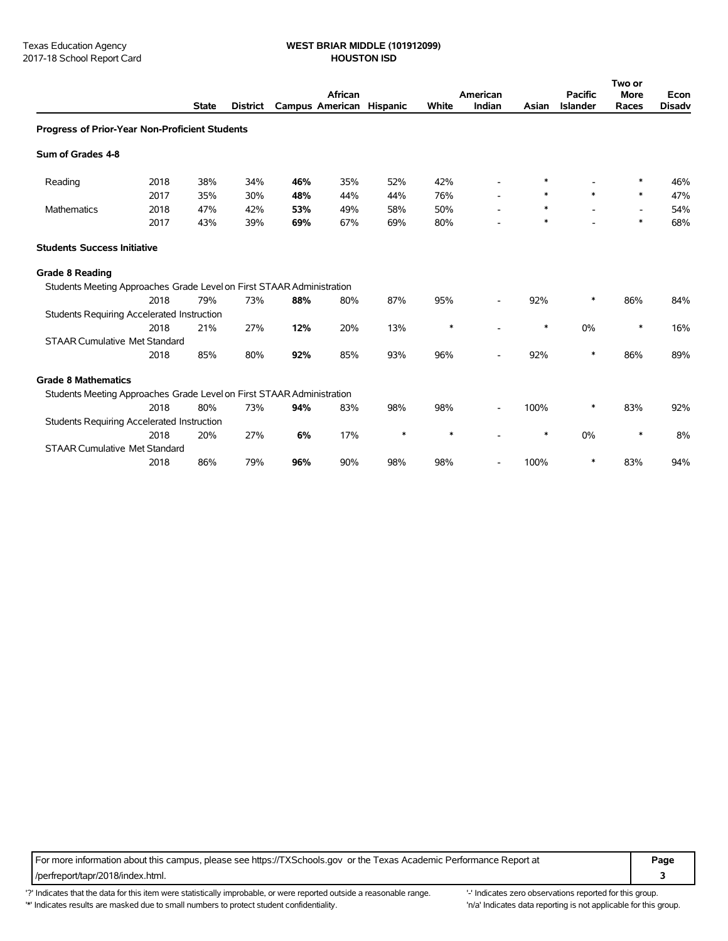# Texas Education Agency **WEST BRIAR MIDDLE (101912099)**

|                                                                       |      |              |                 |                          | African |     |        | American |        | <b>Pacific</b>  | Two or<br><b>More</b>    | Econ          |
|-----------------------------------------------------------------------|------|--------------|-----------------|--------------------------|---------|-----|--------|----------|--------|-----------------|--------------------------|---------------|
|                                                                       |      | <b>State</b> | <b>District</b> | Campus American Hispanic |         |     | White  | Indian   | Asian  | <b>Islander</b> | Races                    | <b>Disadv</b> |
| Progress of Prior-Year Non-Proficient Students                        |      |              |                 |                          |         |     |        |          |        |                 |                          |               |
| Sum of Grades 4-8                                                     |      |              |                 |                          |         |     |        |          |        |                 |                          |               |
| Reading                                                               | 2018 | 38%          | 34%             | 46%                      | 35%     | 52% | 42%    |          | *      |                 | *                        | 46%           |
|                                                                       | 2017 | 35%          | 30%             | 48%                      | 44%     | 44% | 76%    |          | ∗      | $\ast$          | $\ast$                   | 47%           |
| Mathematics                                                           | 2018 | 47%          | 42%             | 53%                      | 49%     | 58% | 50%    |          | ∗      |                 | $\overline{\phantom{a}}$ | 54%           |
|                                                                       | 2017 | 43%          | 39%             | 69%                      | 67%     | 69% | 80%    |          | $\ast$ |                 | *                        | 68%           |
| <b>Students Success Initiative</b>                                    |      |              |                 |                          |         |     |        |          |        |                 |                          |               |
| <b>Grade 8 Reading</b>                                                |      |              |                 |                          |         |     |        |          |        |                 |                          |               |
| Students Meeting Approaches Grade Level on First STAAR Administration |      |              |                 |                          |         |     |        |          |        |                 |                          |               |
|                                                                       | 2018 | 79%          | 73%             | 88%                      | 80%     | 87% | 95%    |          | 92%    | ∗               | 86%                      | 84%           |
| <b>Students Requiring Accelerated Instruction</b>                     |      |              |                 |                          |         |     |        |          |        |                 |                          |               |
|                                                                       | 2018 | 21%          | 27%             | 12%                      | 20%     | 13% | $\ast$ |          | ∗      | 0%              | *                        | 16%           |
| <b>STAAR Cumulative Met Standard</b>                                  |      |              |                 |                          |         |     |        |          |        |                 |                          |               |
|                                                                       | 2018 | 85%          | 80%             | 92%                      | 85%     | 93% | 96%    |          | 92%    | $\ast$          | 86%                      | 89%           |
| <b>Grade 8 Mathematics</b>                                            |      |              |                 |                          |         |     |        |          |        |                 |                          |               |
| Students Meeting Approaches Grade Level on First STAAR Administration |      |              |                 |                          |         |     |        |          |        |                 |                          |               |
|                                                                       | 2018 | 80%          | 73%             | 94%                      | 83%     | 98% | 98%    |          | 100%   | $\ast$          | 83%                      | 92%           |
| Students Requiring Accelerated Instruction                            |      |              |                 |                          |         |     |        |          |        |                 |                          |               |
|                                                                       | 2018 | 20%          | 27%             | 6%                       | 17%     | *   | $\ast$ |          | ∗      | 0%              | $\ast$                   | 8%            |
| <b>STAAR Cumulative Met Standard</b>                                  |      |              |                 |                          |         |     |        |          |        |                 |                          |               |
|                                                                       | 2018 | 86%          | 79%             | 96%                      | 90%     | 98% | 98%    |          | 100%   | $\ast$          | 83%                      | 94%           |

For more information about this campus, please see https://TXSchools.gov or the Texas Academic Performance Report at **Page** /perfreport/tapr/2018/index.html. **3**

'?' Indicates that the data for this item were statistically improbable, or were reported outside a reasonable range. "Indicates zero observations reported for this group. '\*' Indicates results are masked due to small numbers to protect student confidentiality. 
"n/a' Indicates data reporting is not applicable for this group.